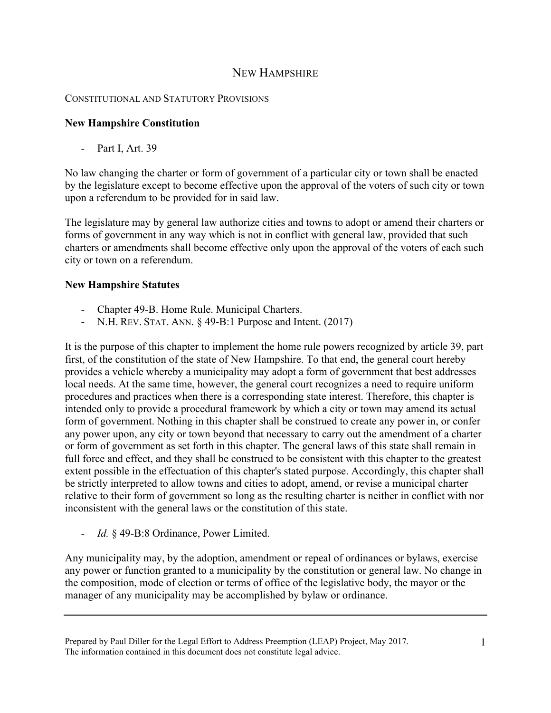# NEW HAMPSHIRE

## CONSTITUTIONAL AND STATUTORY PROVISIONS

# **New Hampshire Constitution**

- Part I, Art. 39

No law changing the charter or form of government of a particular city or town shall be enacted by the legislature except to become effective upon the approval of the voters of such city or town upon a referendum to be provided for in said law.

The legislature may by general law authorize cities and towns to adopt or amend their charters or forms of government in any way which is not in conflict with general law, provided that such charters or amendments shall become effective only upon the approval of the voters of each such city or town on a referendum.

## **New Hampshire Statutes**

- Chapter 49-B. Home Rule. Municipal Charters.
- N.H. REV. STAT. ANN. § 49-B:1 Purpose and Intent. (2017)

It is the purpose of this chapter to implement the home rule powers recognized by article 39, part first, of the constitution of the state of New Hampshire. To that end, the general court hereby provides a vehicle whereby a municipality may adopt a form of government that best addresses local needs. At the same time, however, the general court recognizes a need to require uniform procedures and practices when there is a corresponding state interest. Therefore, this chapter is intended only to provide a procedural framework by which a city or town may amend its actual form of government. Nothing in this chapter shall be construed to create any power in, or confer any power upon, any city or town beyond that necessary to carry out the amendment of a charter or form of government as set forth in this chapter. The general laws of this state shall remain in full force and effect, and they shall be construed to be consistent with this chapter to the greatest extent possible in the effectuation of this chapter's stated purpose. Accordingly, this chapter shall be strictly interpreted to allow towns and cities to adopt, amend, or revise a municipal charter relative to their form of government so long as the resulting charter is neither in conflict with nor inconsistent with the general laws or the constitution of this state.

- *Id.* § 49-B:8 Ordinance, Power Limited.

Any municipality may, by the adoption, amendment or repeal of ordinances or bylaws, exercise any power or function granted to a municipality by the constitution or general law. No change in the composition, mode of election or terms of office of the legislative body, the mayor or the manager of any municipality may be accomplished by bylaw or ordinance.

Prepared by Paul Diller for the Legal Effort to Address Preemption (LEAP) Project, May 2017. The information contained in this document does not constitute legal advice.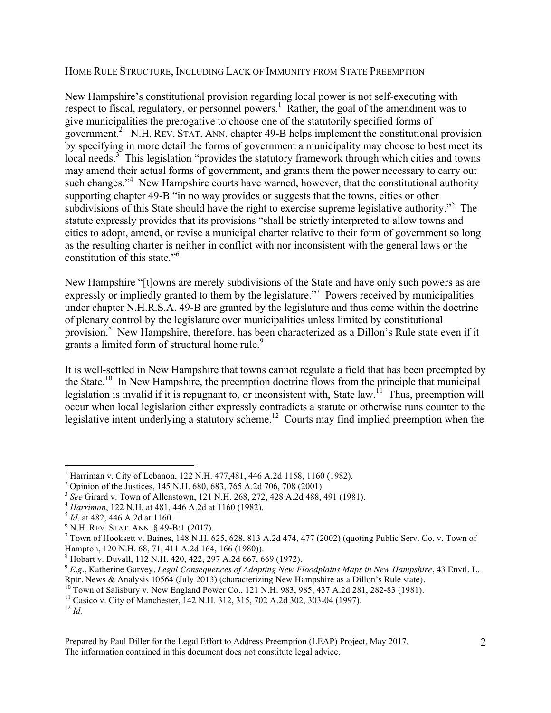#### HOME RULE STRUCTURE, INCLUDING LACK OF IMMUNITY FROM STATE PREEMPTION

New Hampshire's constitutional provision regarding local power is not self-executing with respect to fiscal, regulatory, or personnel powers.<sup>1</sup> Rather, the goal of the amendment was to give municipalities the prerogative to choose one of the statutorily specified forms of government.<sup>2</sup> N.H. REV. STAT. ANN. chapter 49-B helps implement the constitutional provision by specifying in more detail the forms of government a municipality may choose to best meet its local needs.<sup>3</sup> This legislation "provides the statutory framework through which cities and towns may amend their actual forms of government, and grants them the power necessary to carry out such changes."<sup>4</sup> New Hampshire courts have warned, however, that the constitutional authority supporting chapter 49-B "in no way provides or suggests that the towns, cities or other subdivisions of this State should have the right to exercise supreme legislative authority."<sup>5</sup> The statute expressly provides that its provisions "shall be strictly interpreted to allow towns and cities to adopt, amend, or revise a municipal charter relative to their form of government so long as the resulting charter is neither in conflict with nor inconsistent with the general laws or the constitution of this state."<sup>6</sup>

New Hampshire "[t]owns are merely subdivisions of the State and have only such powers as are expressly or impliedly granted to them by the legislature."<sup>7</sup> Powers received by municipalities under chapter N.H.R.S.A. 49-B are granted by the legislature and thus come within the doctrine of plenary control by the legislature over municipalities unless limited by constitutional provision.8 New Hampshire, therefore, has been characterized as a Dillon's Rule state even if it grants a limited form of structural home rule.<sup>9</sup>

It is well-settled in New Hampshire that towns cannot regulate a field that has been preempted by the State.<sup>10</sup> In New Hampshire, the preemption doctrine flows from the principle that municipal legislation is invalid if it is repugnant to, or inconsistent with, State law.<sup>11</sup> Thus, preemption will occur when local legislation either expressly contradicts a statute or otherwise runs counter to the legislative intent underlying a statutory scheme.<sup>12</sup> Courts may find implied preemption when the

 $\frac{1}{1}$ <sup>1</sup> Harriman v. City of Lebanon, 122 N.H. 477,481, 446 A.2d 1158, 1160 (1982).

<sup>2</sup> Opinion of the Justices, 145 N.H. 680, 683, 765 A.2d 706, 708 (2001)

<sup>&</sup>lt;sup>3</sup> See Girard v. Town of Allenstown, 121 N.H. 268, 272, 428 A.2d 488, 491 (1981).<br>
<sup>4</sup> Harriman, 122 N.H. at 481, 446 A.2d at 1160 (1982).<br>
<sup>5</sup> Id. at 482, 446 A.2d at 1160.<br>
<sup>6</sup> N.H. REV. STAT. ANN. § 49-B:1 (2017).

 $7$  Town of Hooksett v. Baines, 148 N.H. 625, 628, 813 A.2d 474, 477 (2002) (quoting Public Serv. Co. v. Town of Hampton, 120 N.H. 68, 71, 411 A.2d 164, 166 (1980)). <sup>8</sup>

Hobart v. Duvall, 112 N.H. 420, 422, 297 A.2d 667, 669 (1972).

<sup>&</sup>lt;sup>9</sup> *E.g.*, Katherine Garvey, *Legal Consequences of Adopting New Floodplains Maps in New Hampshire*, 43 Envtl. L. Rptr. News & Analysis 10564 (July 2013) (characterizing New Hampshire as a Dillon's Rule state).

<sup>&</sup>lt;sup>10</sup>Town of Salisbury v. New England Power Co., 121 N.H. 983, 985, 437 A.2d 281, 282-83 (1981).<br><sup>11</sup> Casico v. City of Manchester, 142 N.H. 312, 315, 702 A.2d 302, 303-04 (1997).<br><sup>12</sup> Id